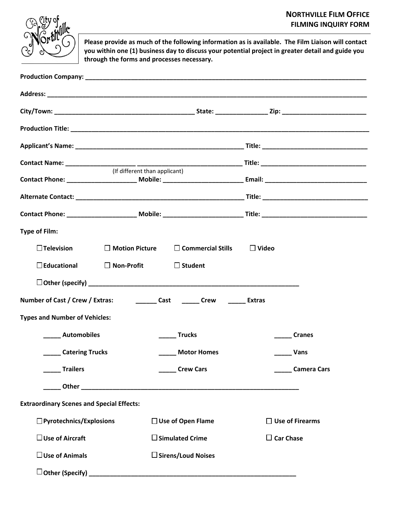## **NORTHVILLE FILM OFFICE FILMING INQUIRY FORM**



**Please provide as much of the following information as is available. The Film Liaison will contact you within one (1) business day to discuss your potential project in greater detail and guide you through the forms and processes necessary.**

|                                                                                        | (If different than applicant)                  |                        |  |  |
|----------------------------------------------------------------------------------------|------------------------------------------------|------------------------|--|--|
|                                                                                        |                                                |                        |  |  |
|                                                                                        |                                                |                        |  |  |
|                                                                                        |                                                |                        |  |  |
| <b>Type of Film:</b>                                                                   |                                                |                        |  |  |
| $\Box$ Television                                                                      | $\Box$ Motion Picture $\Box$ Commercial Stills | $\Box$ Video           |  |  |
| $\square$ Educational                                                                  | $\Box$ Non-Profit<br>$\Box$ Student            |                        |  |  |
|                                                                                        |                                                |                        |  |  |
| <b>Extras</b> Cast <b>Cast Crew CLASE CONFINENT</b><br>Number of Cast / Crew / Extras: |                                                |                        |  |  |
| <b>Types and Number of Vehicles:</b>                                                   |                                                |                        |  |  |
| <b>Example 1</b> Automobiles                                                           | <b>Trucks</b>                                  | <b>Cranes</b>          |  |  |
| <b>Catering Trucks</b>                                                                 | <b>Motor Homes</b>                             | Vans                   |  |  |
| <b>Trailers</b>                                                                        | <b>Crew Cars</b>                               | <b>Camera Cars</b>     |  |  |
|                                                                                        |                                                |                        |  |  |
| <b>Extraordinary Scenes and Special Effects:</b>                                       |                                                |                        |  |  |
| $\Box$ Pyrotechnics/Explosions                                                         | $\Box$ Use of Open Flame                       | $\Box$ Use of Firearms |  |  |
| $\Box$ Use of Aircraft                                                                 | $\square$ Simulated Crime                      | $\Box$ Car Chase       |  |  |
| $\Box$ Use of Animals                                                                  | $\square$ Sirens/Loud Noises                   |                        |  |  |
|                                                                                        |                                                |                        |  |  |